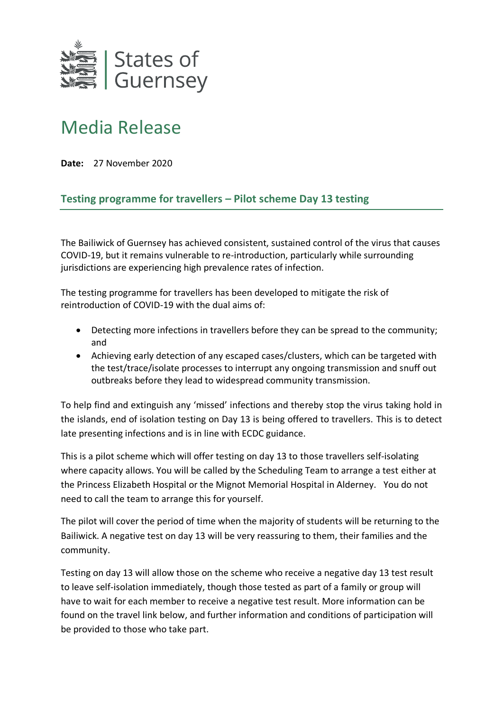

## Media Release

**Date:** 27 November 2020

## **Testing programme for travellers – Pilot scheme Day 13 testing**

The Bailiwick of Guernsey has achieved consistent, sustained control of the virus that causes COVID-19, but it remains vulnerable to re-introduction, particularly while surrounding jurisdictions are experiencing high prevalence rates of infection.

The testing programme for travellers has been developed to mitigate the risk of reintroduction of COVID-19 with the dual aims of:

- Detecting more infections in travellers before they can be spread to the community; and
- Achieving early detection of any escaped cases/clusters, which can be targeted with the test/trace/isolate processes to interrupt any ongoing transmission and snuff out outbreaks before they lead to widespread community transmission.

To help find and extinguish any 'missed' infections and thereby stop the virus taking hold in the islands, end of isolation testing on Day 13 is being offered to travellers. This is to detect late presenting infections and is in line with ECDC guidance.

This is a pilot scheme which will offer testing on day 13 to those travellers self-isolating where capacity allows. You will be called by the Scheduling Team to arrange a test either at the Princess Elizabeth Hospital or the Mignot Memorial Hospital in Alderney. You do not need to call the team to arrange this for yourself.

The pilot will cover the period of time when the majority of students will be returning to the Bailiwick. A negative test on day 13 will be very reassuring to them, their families and the community.

Testing on day 13 will allow those on the scheme who receive a negative day 13 test result to leave self-isolation immediately, though those tested as part of a family or group will have to wait for each member to receive a negative test result. More information can be found on the travel link below, and further information and conditions of participation will be provided to those who take part.